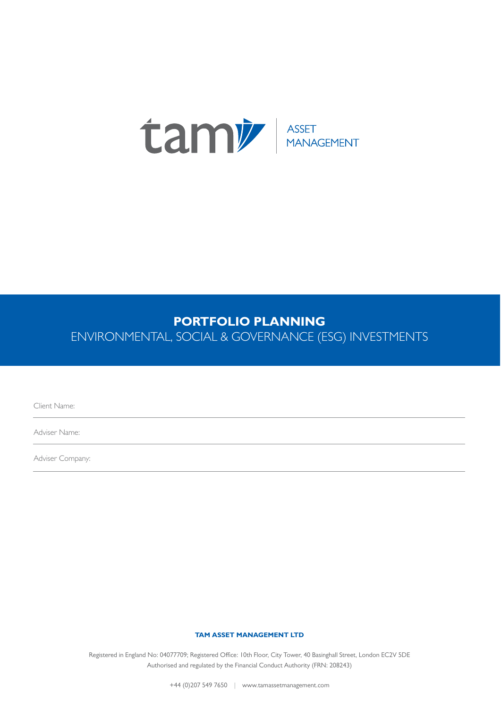

## **PORTFOLIO PLANNING**

ENVIRONMENTAL, SOCIAL & GOVERNANCE (ESG) INVESTMENTS

Client Name:

Adviser Name:

Adviser Company:

## **TAM ASSET MANAGEMENT LTD**

Registered in England No: 04077709; Registered Office: 10th Floor, City Tower, 40 Basinghall Street, London EC2V 5DE Authorised and regulated by the Financial Conduct Authority (FRN: 208243)